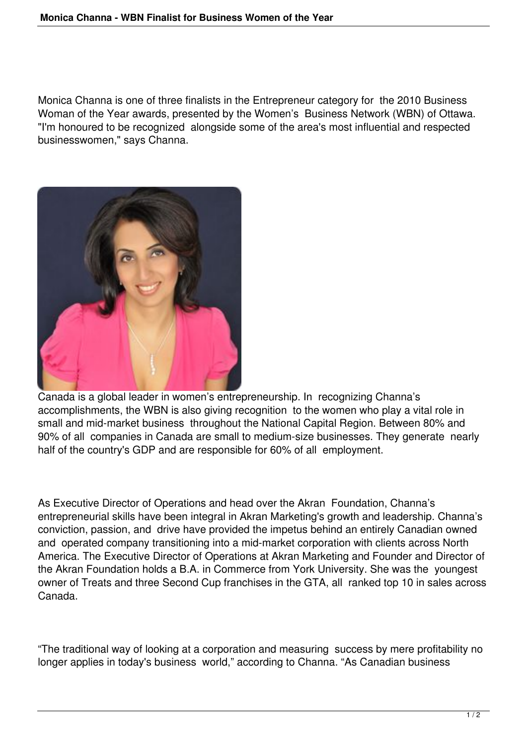Monica Channa is one of three finalists in the Entrepreneur category for the 2010 Business Woman of the Year awards, presented by the Women's Business Network (WBN) of Ottawa. "I'm honoured to be recognized alongside some of the area's most influential and respected businesswomen," says Channa.



Canada is a global leader in women's entrepreneurship. In recognizing Channa's accomplishments, the WBN is also giving recognition to the women who play a vital role in small and mid-market business throughout the National Capital Region. Between 80% and 90% of all companies in Canada are small to medium-size businesses. They generate nearly half of the country's GDP and are responsible for 60% of all employment.

As Executive Director of Operations and head over the Akran Foundation, Channa's entrepreneurial skills have been integral in Akran Marketing's growth and leadership. Channa's conviction, passion, and drive have provided the impetus behind an entirely Canadian owned and operated company transitioning into a mid-market corporation with clients across North America. The Executive Director of Operations at Akran Marketing and Founder and Director of the Akran Foundation holds a B.A. in Commerce from York University. She was the youngest owner of Treats and three Second Cup franchises in the GTA, all ranked top 10 in sales across Canada.

"The traditional way of looking at a corporation and measuring success by mere profitability no longer applies in today's business world," according to Channa. "As Canadian business